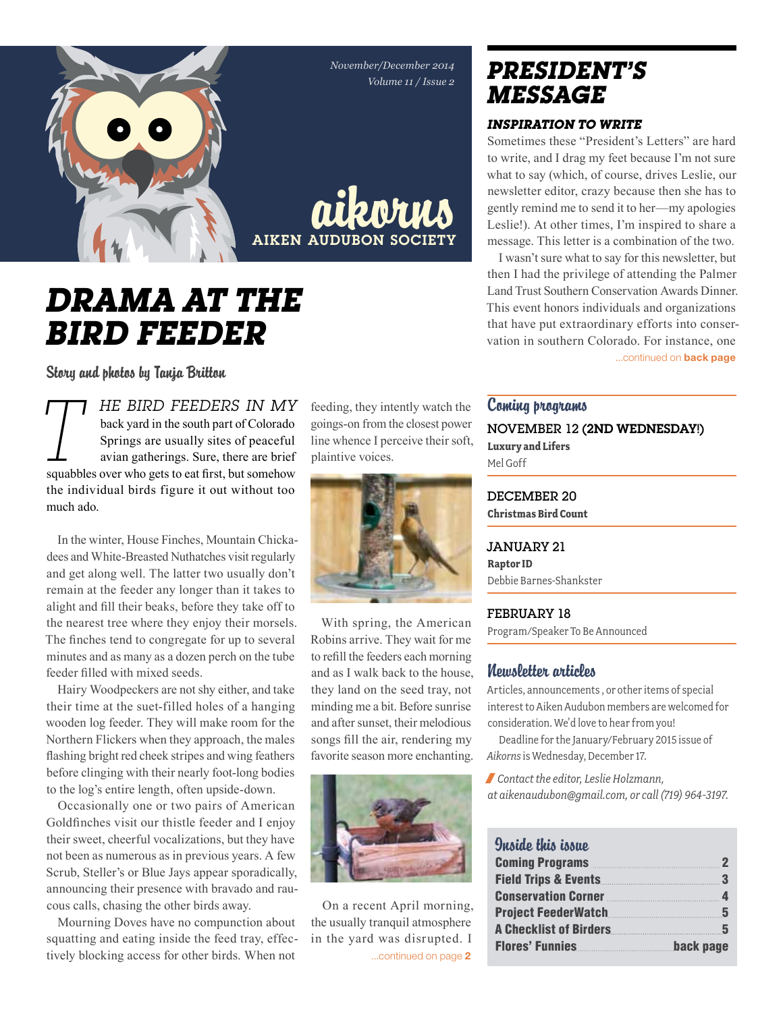*November/December 2014 Volume 11 / Issue 2*



aikorns **AIKEN AUDUBON SOCIET** 

# *Drama at the bird feeder*

Story and photos by Tanja Britton

*T HE BIRD FEEDERS IN MY*<br>back yard in the south part of Colorado<br>Springs are usually sites of peaceful<br>avian gatherings. Sure, there are brief<br>squabbles over who gets to eat first, but somehow back yard in the south part of Colorado Springs are usually sites of peaceful avian gatherings. Sure, there are brief the individual birds figure it out without too much ado.

In the winter, House Finches, Mountain Chickadees and White-Breasted Nuthatches visit regularly and get along well. The latter two usually don't remain at the feeder any longer than it takes to alight and fill their beaks, before they take off to the nearest tree where they enjoy their morsels. The finches tend to congregate for up to several minutes and as many as a dozen perch on the tube feeder filled with mixed seeds.

Hairy Woodpeckers are not shy either, and take their time at the suet-filled holes of a hanging wooden log feeder. They will make room for the Northern Flickers when they approach, the males flashing bright red cheek stripes and wing feathers before clinging with their nearly foot-long bodies to the log's entire length, often upside-down.

Occasionally one or two pairs of American Goldfinches visit our thistle feeder and I enjoy their sweet, cheerful vocalizations, but they have not been as numerous as in previous years. A few Scrub, Steller's or Blue Jays appear sporadically, announcing their presence with bravado and raucous calls, chasing the other birds away.

Mourning Doves have no compunction about squatting and eating inside the feed tray, effectively blocking access for other birds. When not

feeding, they intently watch the goings-on from the closest power line whence I perceive their soft, plaintive voices.



With spring, the American Robins arrive. They wait for me to refill the feeders each morning and as I walk back to the house, they land on the seed tray, not minding me a bit. Before sunrise and after sunset, their melodious songs fill the air, rendering my favorite season more enchanting.



...continued on page 2 On a recent April morning, the usually tranquil atmosphere in the yard was disrupted. I

## *president's message*

#### *Inspiration to write*

Sometimes these "President's Letters" are hard to write, and I drag my feet because I'm not sure what to say (which, of course, drives Leslie, our newsletter editor, crazy because then she has to gently remind me to send it to her—my apologies Leslie!). At other times, I'm inspired to share a message. This letter is a combination of the two.

I wasn't sure what to say for this newsletter, but then I had the privilege of attending the Palmer Land Trust Southern Conservation Awards Dinner. This event honors individuals and organizations that have put extraordinary efforts into conservation in southern Colorado. For instance, one ...continued on **back page** 

#### Coming programs

November 12 (2nd Wednesday!) **Luxury and Lifers** Mel Goff

DECEMBER 20 **Christmas Bird Count**

January 21 **Raptor ID** Debbie Barnes-Shankster

#### February 18

Program/Speaker To Be Announced

#### Newsletter articles

Articles, announcements , or other items of special interest to Aiken Audubon members are welcomed for consideration. We'd love to hear from you!

Deadline for the January/February 2015 issue of *Aikorns* is Wednesday, December 17.

/ *Contact the editor, Leslie Holzmann, at aikenaudubon@gmail.com, or call (719) 964-3197.*

#### Inside this issue

| <b>Coming Programs Community Community Community Community Community Community</b> | $\mathbf{2}$ |
|------------------------------------------------------------------------------------|--------------|
| Field Trips & Events 3                                                             |              |
| Conservation Corner <b>Election</b> 4                                              |              |
| <b>Project FeederWatch</b> 2008 2009 2010                                          |              |
| A Checklist of Birders <u>[</u> [11] A Checklist of Birders <b>[12]</b>            |              |
| <b>Flores' Funnies</b>                                                             | back page    |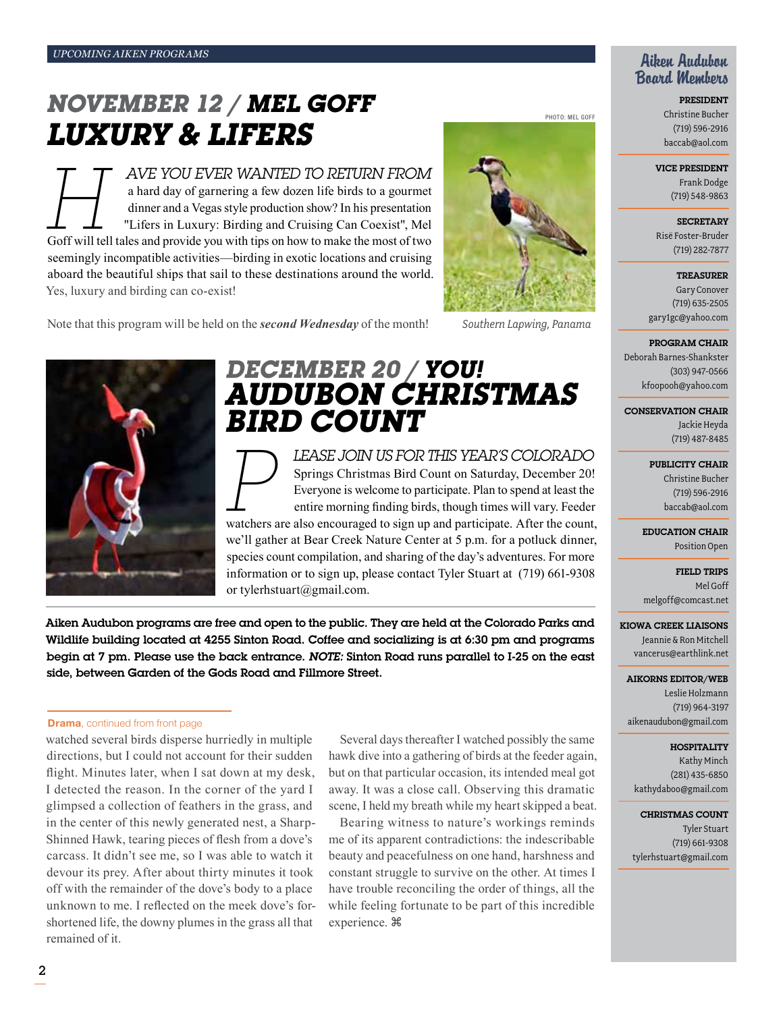## *november 12 / Mel Goff Luxury & Lifers*

*Here You EVER WANTED TO RETURN FROM*<br>
a hard day of garnering a few dozen life birds to a gourmet<br>
dinner and a Vegas style production show? In his presentation<br>
"Lifers in Luxury: Birding and Cruising Can Coexist", Mel<br> a hard day of garnering a few dozen life birds to a gourmet dinner and a Vegas style production show? In his presentation "Lifers in Luxury: Birding and Cruising Can Coexist", Mel seemingly incompatible activities—birding in exotic locations and cruising aboard the beautiful ships that sail to these destinations around the world. Yes, luxury and birding can co-exist!



Note that this program will be held on the *second Wednesday* of the month! *Southern Lapwing, Panama*



(719) 596-2916 baccab@aol.com

President Christine Bucher

Aiken Audubon Board Members

Vice President

Frank Dodge (719) 548-9863

**SECRETARY** Risë Foster-Bruder (719) 282-7877

#### **TREASURER**

Gary Conover (719) 635-2505 gary1gc@yahoo.com

#### Program Chair

Deborah Barnes-Shankster (303) 947-0566 kfoopooh@yahoo.com

Conservation Chair

Jackie Heyda (719) 487-8485

#### PUBLICITY CHAIR

Christine Bucher (719) 596-2916 baccab@aol.com

Education Chair Position Open

Field Trips Mel Goff melgoff@comcast.net

Kiowa Creek Liaisons Jeannie & Ron Mitchell vancerus@earthlink.net

Aikorns Editor/Web Leslie Holzmann (719) 964-3197 aikenaudubon@gmail.com

#### **HOSPITALITY**

Kathy Minch (281) 435-6850 kathydaboo@gmail.com

Christmas Count Tyler Stuart (719) 661-9308 tylerhstuart@gmail.com



## *december 20 / YOU! Audubon Christmas bird count*

*P lease join us for this year's Colorado*  Springs Christmas Bird Count on Saturday, December 20! Everyone is welcome to participate. Plan to spend at least the entire morning finding birds, though times will vary. Feeder watchers are also encouraged to sign up and participate. After the count,

we'll gather at Bear Creek Nature Center at 5 p.m. for a potluck dinner, species count compilation, and sharing of the day's adventures. For more information or to sign up, please contact Tyler Stuart at (719) 661-9308 or tylerhstuart@gmail.com.

Aiken Audubon programs are free and open to the public. They are held at the Colorado Parks and Wildlife building located at 4255 Sinton Road. Coffee and socializing is at 6:30 pm and programs begin at 7 pm. Please use the back entrance. *Note:* Sinton Road runs parallel to I-25 on the east side, between Garden of the Gods Road and Fillmore Street.

#### **Drama**, continued from front page

watched several birds disperse hurriedly in multiple directions, but I could not account for their sudden flight. Minutes later, when I sat down at my desk, I detected the reason. In the corner of the yard I glimpsed a collection of feathers in the grass, and in the center of this newly generated nest, a Sharp-Shinned Hawk, tearing pieces of flesh from a dove's carcass. It didn't see me, so I was able to watch it devour its prey. After about thirty minutes it took off with the remainder of the dove's body to a place unknown to me. I reflected on the meek dove's forshortened life, the downy plumes in the grass all that remained of it.

Several days thereafter I watched possibly the same hawk dive into a gathering of birds at the feeder again, but on that particular occasion, its intended meal got away. It was a close call. Observing this dramatic scene, I held my breath while my heart skipped a beat.

Bearing witness to nature's workings reminds me of its apparent contradictions: the indescribable beauty and peacefulness on one hand, harshness and constant struggle to survive on the other. At times I have trouble reconciling the order of things, all the while feeling fortunate to be part of this incredible experience.  $\mathbb B$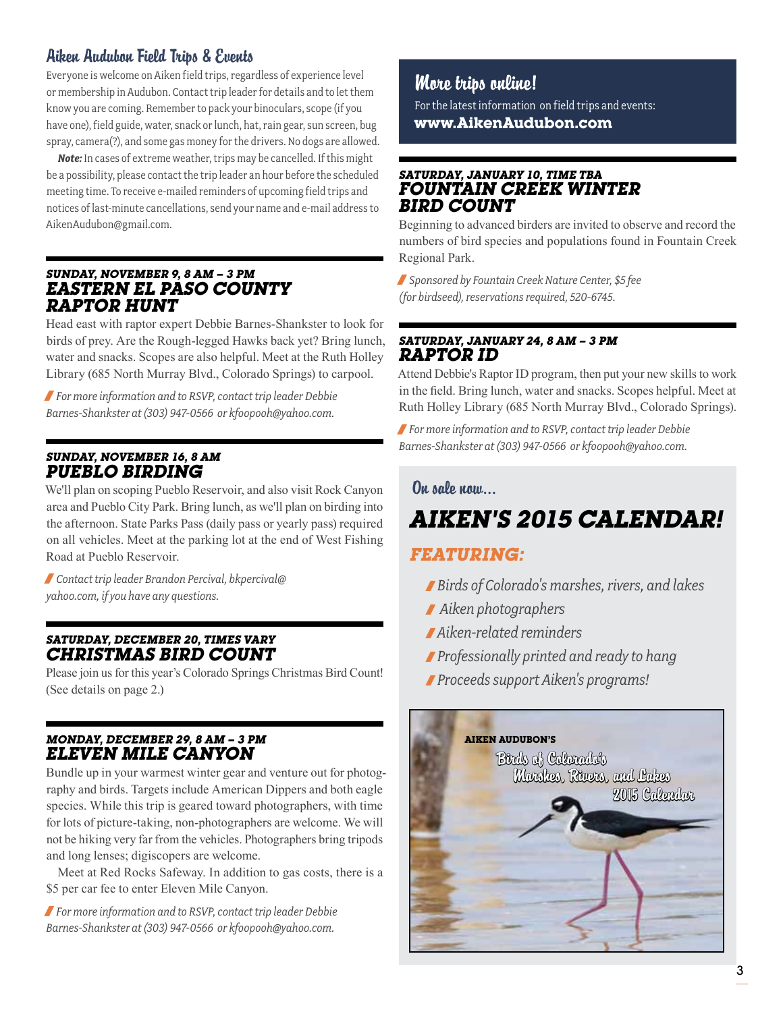#### Aiken Audubon Field Trips & Events

Everyone is welcome on Aiken field trips, regardless of experience level or membership in Audubon. Contact trip leader for details and to let them know you are coming. Remember to pack your binoculars, scope (if you have one), field guide, water, snack or lunch, hat, rain gear, sun screen, bug spray, camera(?), and some gas money for the drivers. No dogs are allowed.

*Note:* In cases of extreme weather, trips may be cancelled. If this might be a possibility, please contact the trip leader an hour before the scheduled meeting time. To receive e-mailed reminders of upcoming field trips and notices of last-minute cancellations, send your name and e-mail address to AikenAudubon@gmail.com.

#### *Sunday, November 9, 8 am – 3 pm Eastern El Paso County Raptor Hunt*

Head east with raptor expert Debbie Barnes-Shankster to look for birds of prey. Are the Rough-legged Hawks back yet? Bring lunch, water and snacks. Scopes are also helpful. Meet at the Ruth Holley Library (685 North Murray Blvd., Colorado Springs) to carpool.

/ *For more information and to RSVP, contact trip leader Debbie Barnes-Shankster at (303) 947-0566 or kfoopooh@yahoo.com.*

#### *Sunday, November 16, 8 am Pueblo Birding*

We'll plan on scoping Pueblo Reservoir, and also visit Rock Canyon area and Pueblo City Park. Bring lunch, as we'll plan on birding into the afternoon. State Parks Pass (daily pass or yearly pass) required on all vehicles. Meet at the parking lot at the end of West Fishing Road at Pueblo Reservoir.

/ *Contact trip leader Brandon Percival, bkpercival@ yahoo.com, if you have any questions.*

#### *Saturday, December 20, times vary Christmas Bird Count*

Please join us for this year's Colorado Springs Christmas Bird Count! (See details on page 2.)

#### *Monday, December 29, 8 am – 3 pm Eleven Mile Canyon*

Bundle up in your warmest winter gear and venture out for photography and birds. Targets include American Dippers and both eagle species. While this trip is geared toward photographers, with time for lots of picture-taking, non-photographers are welcome. We will not be hiking very far from the vehicles. Photographers bring tripods and long lenses; digiscopers are welcome.

Meet at Red Rocks Safeway. In addition to gas costs, there is a \$5 per car fee to enter Eleven Mile Canyon.

/ *For more information and to RSVP, contact trip leader Debbie Barnes-Shankster at (303) 947-0566 or kfoopooh@yahoo.com.*

#### More trips online!

For the latest information on field trips and events: **www.AikenAudubon.com**

#### *Saturday, January 10, time tba Fountain Creek Winter Bird Count*

Beginning to advanced birders are invited to observe and record the numbers of bird species and populations found in Fountain Creek Regional Park.

/ *Sponsored by Fountain Creek Nature Center, \$5 fee (for birdseed), reservations required, 520-6745.*

#### *Saturday, January 24, 8 am – 3 pm Raptor ID*

Attend Debbie's Raptor ID program, then put your new skills to work in the field. Bring lunch, water and snacks. Scopes helpful. Meet at Ruth Holley Library (685 North Murray Blvd., Colorado Springs).

/ *For more information and to RSVP, contact trip leader Debbie Barnes-Shankster at (303) 947-0566 or kfoopooh@yahoo.com.*

#### On sale now…

## *Aiken's 2015 Calendar!*

#### *Featuring:*

- /*Birds of Colorado's marshes, rivers, and lakes*
- / *Aiken photographers*
- / *Aiken-related reminders*
- /*Professionally printed and ready to hang*
- /*Proceeds support Aiken's programs!*

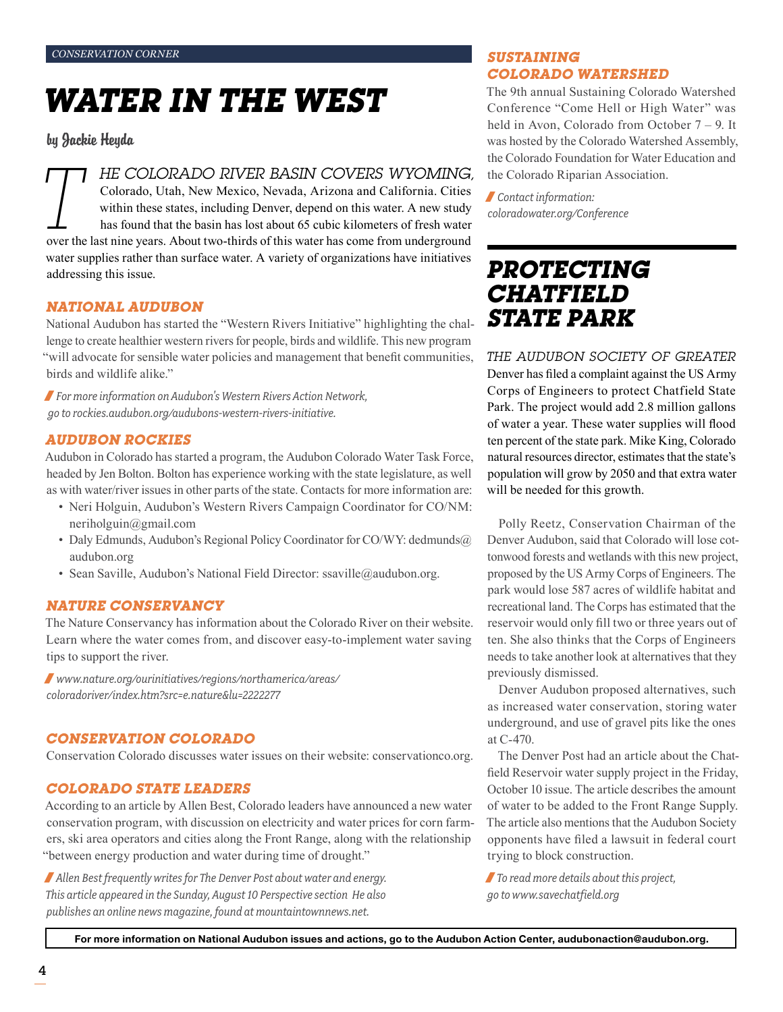# *Water in the West*

by Jackie Heyda

Colorado, Utah, New Mexico, Nevada, Arizona and California. Cities

**TT HE COLORADO RIVER BASIN COVERS WYOMING,**<br>Colorado, Utah, New Mexico, Nevada, Arizona and California. Cities<br>within these states, including Denver, depend on this water. A new study<br>has found that the basin has lost a within these states, including Denver, depend on this water. A new study has found that the basin has lost about 65 cubic kilometers of fresh water water supplies rather than surface water. A variety of organizations have initiatives addressing this issue.

#### *National Audubon*

National Audubon has started the "Western Rivers Initiative" highlighting the challenge to create healthier western rivers for people, birds and wildlife. This new program "will advocate for sensible water policies and management that benefit communities, birds and wildlife alike."

/ *For more information on Audubon's Western Rivers Action Network, go to rockies.audubon.org/audubons-western-rivers-initiative.*

#### *Audubon Rockies*

Audubon in Colorado has started a program, the Audubon Colorado Water Task Force, headed by Jen Bolton. Bolton has experience working with the state legislature, as well as with water/river issues in other parts of the state. Contacts for more information are:

- Neri Holguin, Audubon's Western Rivers Campaign Coordinator for CO/NM: neriholguin@gmail.com
- Daly Edmunds, Audubon's Regional Policy Coordinator for CO/WY: dedmunds@ audubon.org
- Sean Saville, Audubon's National Field Director: ssaville@audubon.org.

#### *Nature conservancy*

The Nature Conservancy has information about the Colorado River on their website. Learn where the water comes from, and discover easy-to-implement water saving tips to support the river.

/ *www.nature.org/ourinitiatives/regions/northamerica/areas/ coloradoriver/index.htm?src=e.nature&lu=2222277*

#### *Conservation Colorado*

Conservation Colorado discusses water issues on their website: conservationco.org.

#### *Colorado state leaders*

According to an article by Allen Best, Colorado leaders have announced a new water conservation program, with discussion on electricity and water prices for corn farmers, ski area operators and cities along the Front Range, along with the relationship "between energy production and water during time of drought."

/*Allen Best frequently writes for The Denver Post about water and energy. This article appeared in the Sunday, August 10 Perspective section He also publishes an online news magazine, found at mountaintownnews.net.* 

#### *Sustaining Colorado Watershed*

The 9th annual Sustaining Colorado Watershed Conference "Come Hell or High Water" was held in Avon, Colorado from October 7 – 9. It was hosted by the Colorado Watershed Assembly, the Colorado Foundation for Water Education and the Colorado Riparian Association.

/ *Contact information: coloradowater.org/Conference* 

## *Protecting Chatfield State Park*

*The Audubon Society of Greater*  Denver has filed a complaint against the US Army Corps of Engineers to protect Chatfield State Park. The project would add 2.8 million gallons of water a year. These water supplies will flood ten percent of the state park. Mike King, Colorado natural resources director, estimates that the state's population will grow by 2050 and that extra water will be needed for this growth.

Polly Reetz, Conservation Chairman of the Denver Audubon, said that Colorado will lose cottonwood forests and wetlands with this new project, proposed by the US Army Corps of Engineers. The park would lose 587 acres of wildlife habitat and recreational land. The Corps has estimated that the reservoir would only fill two or three years out of ten. She also thinks that the Corps of Engineers needs to take another look at alternatives that they previously dismissed.

Denver Audubon proposed alternatives, such as increased water conservation, storing water underground, and use of gravel pits like the ones at C-470.

The Denver Post had an article about the Chatfield Reservoir water supply project in the Friday, October 10 issue. The article describes the amount of water to be added to the Front Range Supply. The article also mentions that the Audubon Society opponents have filed a lawsuit in federal court trying to block construction.

/*To read more details about this project, go to www.savechatfield.org*

For more information on National Audubon issues and actions, go to the Audubon Action Center, audubonaction@audubon.org.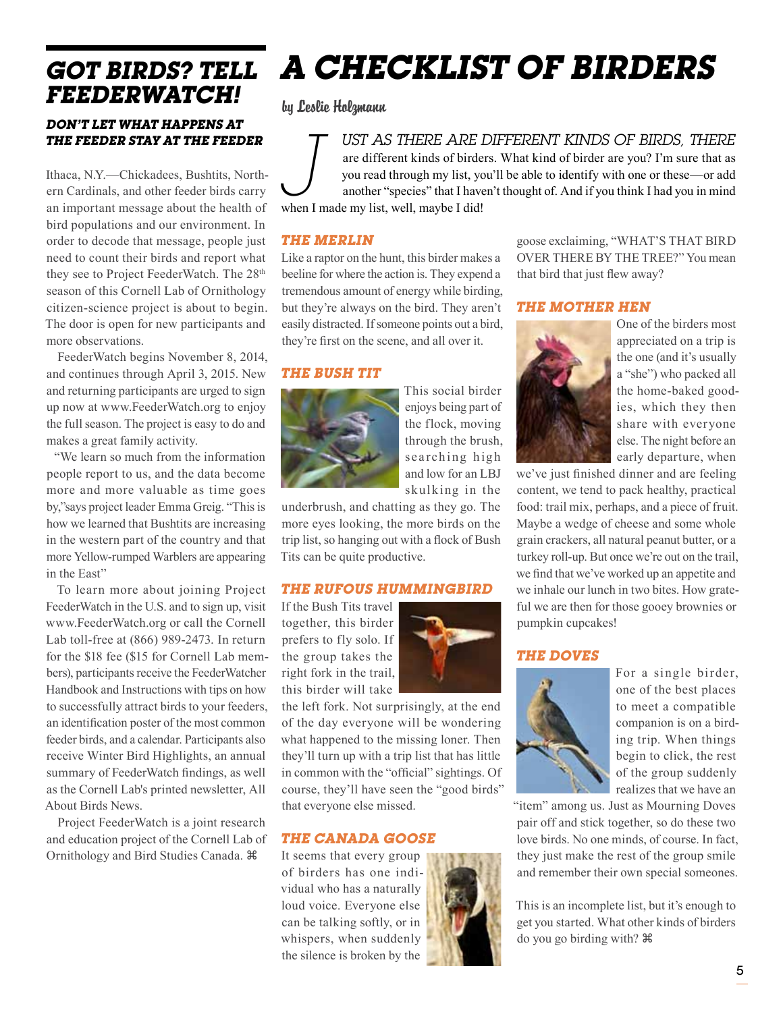# *FeederWatch!*

#### *Don't let what happens at the feeder stay at the feeder*

Ithaca, N.Y.—Chickadees, Bushtits, Northern Cardinals, and other feeder birds carry an important message about the health of bird populations and our environment. In order to decode that message, people just need to count their birds and report what they see to Project FeederWatch. The 28<sup>th</sup> season of this Cornell Lab of Ornithology citizen-science project is about to begin. The door is open for new participants and more observations.

FeederWatch begins November 8, 2014, and continues through April 3, 2015. New and returning participants are urged to sign up now at www.FeederWatch.org to enjoy the full season. The project is easy to do and makes a great family activity.

"We learn so much from the information people report to us, and the data become more and more valuable as time goes by,"says project leader Emma Greig. "This is how we learned that Bushtits are increasing in the western part of the country and that more Yellow-rumped Warblers are appearing in the East"

To learn more about joining Project FeederWatch in the U.S. and to sign up, visit www.FeederWatch.org or call the Cornell Lab toll-free at (866) 989-2473. In return for the \$18 fee (\$15 for Cornell Lab members), participants receive the FeederWatcher Handbook and Instructions with tips on how to successfully attract birds to your feeders, an identification poster of the most common feeder birds, and a calendar. Participants also receive Winter Bird Highlights, an annual summary of FeederWatch findings, as well as the Cornell Lab's printed newsletter, All About Birds News.

Project FeederWatch is a joint research and education project of the Cornell Lab of Ornithology and Bird Studies Canada.

# *Got Birds? Tell A Checklist of Birders*

by Leslie Holzmann

*J ust as there are different kinds of birds, there*  are different kinds of birders. What kind of birder are you? I'm sure that as you read through my list, you'll be able to identify with one or these—or add another "species" that I haven't thought of. And if you think I had you in mind when I made my list, well, maybe I did!

#### *The Merlin*

Like a raptor on the hunt, this birder makes a beeline for where the action is. They expend a tremendous amount of energy while birding, but they're always on the bird. They aren't easily distracted. If someone points out a bird, they're first on the scene, and all over it.

#### *The Bush Tit*



This social birder enjoys being part of the flock, moving through the brush, searching high and low for an LBJ skulking in the

underbrush, and chatting as they go. The more eyes looking, the more birds on the trip list, so hanging out with a flock of Bush Tits can be quite productive.

#### *The Rufous Hummingbird*

If the Bush Tits travel together, this birder prefers to fly solo. If the group takes the right fork in the trail, this birder will take



the left fork. Not surprisingly, at the end of the day everyone will be wondering what happened to the missing loner. Then they'll turn up with a trip list that has little in common with the "official" sightings. Of course, they'll have seen the "good birds" that everyone else missed.

#### *The Canada Goose*

It seems that every group of birders has one individual who has a naturally loud voice. Everyone else can be talking softly, or in whispers, when suddenly the silence is broken by the



For a single birder, one of the best places to meet a compatible companion is on a birding trip. When things begin to click, the rest of the group suddenly realizes that we have an

"item" among us. Just as Mourning Doves pair off and stick together, so do these two love birds. No one minds, of course. In fact, they just make the rest of the group smile and remember their own special someones.

This is an incomplete list, but it's enough to get you started. What other kinds of birders do you go birding with?

goose exclaiming, "WHAT'S THAT BIRD OVER THERE BY THE TREE?" You mean that bird that just flew away?

#### *The Mother Hen*



One of the birders most appreciated on a trip is the one (and it's usually a "she") who packed all the home-baked goodies, which they then share with everyone else. The night before an early departure, when

we've just finished dinner and are feeling content, we tend to pack healthy, practical food: trail mix, perhaps, and a piece of fruit. Maybe a wedge of cheese and some whole grain crackers, all natural peanut butter, or a turkey roll-up. But once we're out on the trail, we find that we've worked up an appetite and we inhale our lunch in two bites. How grateful we are then for those gooey brownies or pumpkin cupcakes!

#### *The Doves*